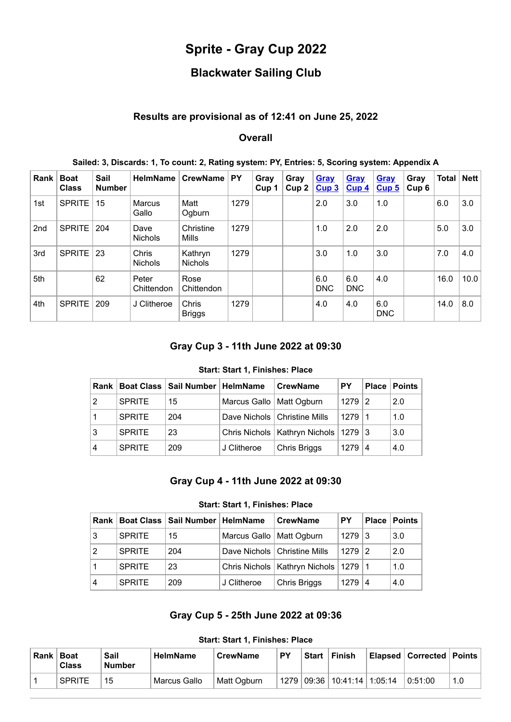# **Sprite - Gray Cup 2022**

## **Blackwater Sailing Club**

### **Results are provisional as of 12:41 on June 25, 2022**

#### **Overall**

| Rank            | <b>Boat</b><br><b>Class</b> | <b>Sail</b><br><b>Number</b> | <b>HelmName</b>         | CrewName                  | <b>PY</b> | Gray<br>Cup <sub>1</sub> | Gray<br>Cup2 | <b>Gray</b><br>Cup3 | Gray<br>Cup <sub>4</sub> | <b>Gray</b><br>Cup <sub>5</sub> | Gray<br>Cup <sub>6</sub> | <b>Total   Nett  </b> |      |
|-----------------|-----------------------------|------------------------------|-------------------------|---------------------------|-----------|--------------------------|--------------|---------------------|--------------------------|---------------------------------|--------------------------|-----------------------|------|
| 1st             | <b>SPRITE</b>               | 15                           | Marcus<br>Gallo         | Matt<br>Ogburn            | 1279      |                          |              | 2.0                 | 3.0                      | 1.0                             |                          | 6.0                   | 3.0  |
| 2 <sub>nd</sub> | <b>SPRITE</b>               | 204                          | Dave<br><b>Nichols</b>  | Christine<br>Mills        | 1279      |                          |              | 1.0                 | 2.0                      | 2.0                             |                          | 5.0                   | 3.0  |
| 3rd             | <b>SPRITE</b>               | 23                           | Chris<br><b>Nichols</b> | Kathryn<br><b>Nichols</b> | 1279      |                          |              | 3.0                 | 1.0                      | 3.0                             |                          | 7.0                   | 4.0  |
| 5th             |                             | 62                           | Peter<br>Chittendon     | Rose<br>Chittendon        |           |                          |              | 6.0<br><b>DNC</b>   | 6.0<br><b>DNC</b>        | 4.0                             |                          | 16.0                  | 10.0 |
| 4th             | <b>SPRITE</b>               | 209                          | J Clitheroe             | Chris<br><b>Briggs</b>    | 1279      |                          |              | 4.0                 | 4.0                      | 6.0<br><b>DNC</b>               |                          | 14.0                  | 8.0  |

#### **Sailed: 3, Discards: 1, To count: 2, Rating system: PY, Entries: 5, Scoring system: Appendix A**

## **Gray Cup 3 - 11th June 2022 at 09:30**

#### **Start: Start 1, Finishes: Place**

<span id="page-0-0"></span>

| Rank |               | Boat Class   Sail Number   HelmName |                            | <b>CrewName</b>                            | <b>PY</b> | <b>Place</b> | <b>Points</b> |
|------|---------------|-------------------------------------|----------------------------|--------------------------------------------|-----------|--------------|---------------|
| 2    | <b>SPRITE</b> | 15                                  | Marcus Gallo   Matt Ogburn |                                            | $1279$  2 |              | 2.0           |
|      | <b>SPRITE</b> | 204                                 |                            | Dave Nichols   Christine Mills             | 1279 1    |              | 1.0           |
| 3    | <b>SPRITE</b> | 23                                  |                            | Chris Nichols   Kathryn Nichols   1279   3 |           |              | 3.0           |
| 4    | <b>SPRITE</b> | 209                                 | J Clitheroe                | Chris Briggs                               | 1279      | 4            | 4.0           |

#### **Gray Cup 4 - 11th June 2022 at 09:30**

#### **Start: Start 1, Finishes: Place**

<span id="page-0-1"></span>

| Rank I |               | Boat Class   Sail Number   HelmName |                            | <b>CrewName</b>                 | PY.        |   | <b>Place   Points  </b> |
|--------|---------------|-------------------------------------|----------------------------|---------------------------------|------------|---|-------------------------|
| 3      | <b>SPRITE</b> | 15                                  | Marcus Gallo   Matt Ogburn |                                 | $1279$ 3   |   | 3.0                     |
| 2      | <b>SPRITE</b> | 204                                 |                            | Dave Nichols   Christine Mills  | $1279$   2 |   | 2.0                     |
|        | <b>SPRITE</b> | 23                                  |                            | Chris Nichols   Kathryn Nichols | $1279$   1 |   | 1.0                     |
| 4      | <b>SPRITE</b> | 209                                 | J Clitheroe                | Chris Briggs                    | 1279       | 4 | 4.0                     |

## **Gray Cup 5 - 25th June 2022 at 09:36**

<span id="page-0-2"></span>

| <b>Rank</b> | <b>Boat</b><br><b>Class</b> | Sail<br><b>Number</b> | <sup>≀</sup> HelmName | <b>CrewName</b> | PΥ | <b>Start</b> | <b>Finish</b>                                  | Elapsed   Corrected   Points |     |
|-------------|-----------------------------|-----------------------|-----------------------|-----------------|----|--------------|------------------------------------------------|------------------------------|-----|
|             | <b>SPRITE</b>               | 15                    | Marcus Gallo          | Matt Ogburn     |    |              | <sup>!</sup> 1279   09:36   10:41:14   1:05:14 | 0.51:00                      | 1.0 |

#### **Start: Start 1, Finishes: Place**